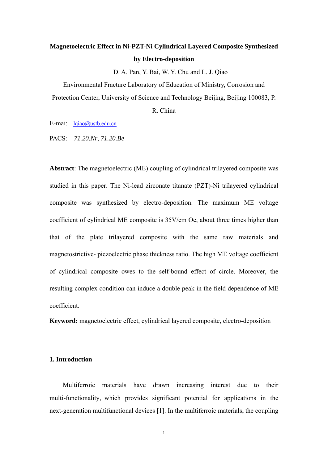# **Magnetoelectric Effect in Ni-PZT-Ni Cylindrical Layered Composite Synthesized by Electro-deposition**

D. A. Pan, Y. Bai, W. Y. Chu and L. J. Qiao

Environmental Fracture Laboratory of Education of Ministry, Corrosion and Protection Center, University of Science and Technology Beijing, Beijing 100083, P.

R. China

E-mai: lqiao@ustb.edu.cn

PACS: *71.20.Nr*, *71.20.Be*

**Abstract**: The magnetoelectric (ME) coupling of cylindrical trilayered composite was studied in this paper. The Ni-lead zirconate titanate (PZT)-Ni trilayered cylindrical composite was synthesized by electro-deposition. The maximum ME voltage coefficient of cylindrical ME composite is 35V/cm Oe, about three times higher than that of the plate trilayered composite with the same raw materials and magnetostrictive- piezoelectric phase thickness ratio. The high ME voltage coefficient of cylindrical composite owes to the self-bound effect of circle. Moreover, the resulting complex condition can induce a double peak in the field dependence of ME coefficient.

**Keyword:** magnetoelectric effect, cylindrical layered composite, electro-deposition

### **1. Introduction**

Multiferroic materials have drawn increasing interest due to their multi-functionality, which provides significant potential for applications in the next-generation multifunctional devices [1]. In the multiferroic materials, the coupling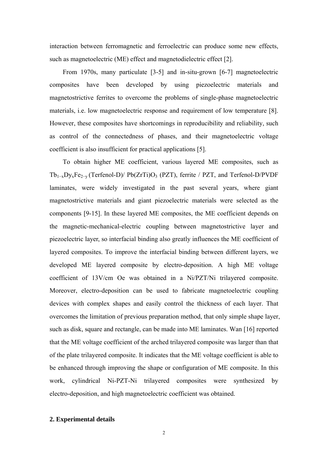interaction between ferromagnetic and ferroelectric can produce some new effects, such as magnetoelectric (ME) effect and magnetodielectric effect [2].

From 1970s, many particulate [3-5] and in-situ-grown [6-7] magnetoelectric composites have been developed by using piezoelectric materials and magnetostrictive ferrites to overcome the problems of single-phase magnetoelectric materials, i.e. low magnetoelectric response and requirement of low temperature [8]. However, these composites have shortcomings in reproducibility and reliability, such as control of the connectedness of phases, and their magnetoelectric voltage coefficient is also insufficient for practical applications [5].

To obtain higher ME coefficient, various layered ME composites, such as Tb1−xDyxFe2−y (Terfenol-D)/ Pb(ZrTi)O3 (PZT), ferrite / PZT, and Terfenol-D/PVDF laminates, were widely investigated in the past several years, where giant magnetostrictive materials and giant piezoelectric materials were selected as the components [9-15]. In these layered ME composites, the ME coefficient depends on the magnetic-mechanical-electric coupling between magnetostrictive layer and piezoelectric layer, so interfacial binding also greatly influences the ME coefficient of layered composites. To improve the interfacial binding between different layers, we developed ME layered composite by electro-deposition. A high ME voltage coefficient of 13V/cm Oe was obtained in a Ni/PZT/Ni trilayered composite. Moreover, electro-deposition can be used to fabricate magnetoelectric coupling devices with complex shapes and easily control the thickness of each layer. That overcomes the limitation of previous preparation method, that only simple shape layer, such as disk, square and rectangle, can be made into ME laminates. Wan [16] reported that the ME voltage coefficient of the arched trilayered composite was larger than that of the plate trilayered composite. It indicates that the ME voltage coefficient is able to be enhanced through improving the shape or configuration of ME composite. In this work, cylindrical Ni-PZT-Ni trilayered composites were synthesized by electro-deposition, and high magnetoelectric coefficient was obtained.

#### **2. Experimental details**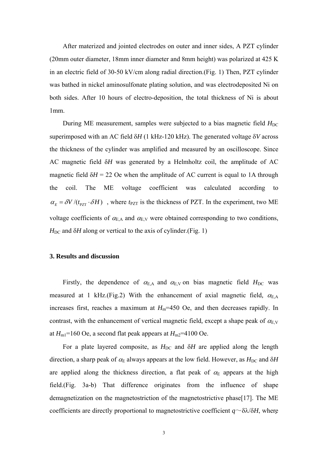After materized and jointed electrodes on outer and inner sides, A PZT cylinder (20mm outer diameter, 18mm inner diameter and 8mm height) was polarized at 425 K in an electric field of 30-50 kV/cm along radial direction.(Fig. 1) Then, PZT cylinder was bathed in nickel aminosulfonate plating solution, and was electrodeposited Ni on both sides. After 10 hours of electro-deposition, the total thickness of Ni is about 1mm.

During ME measurement, samples were subjected to a bias magnetic field  $H_{DC}$ superimposed with an AC field δ*H* (1 kHz-120 kHz). The generated voltage δ*V* across the thickness of the cylinder was amplified and measured by an oscilloscope. Since AC magnetic field δ*H* was generated by a Helmholtz coil, the amplitude of AC magnetic field  $\delta H = 22$  Oe when the amplitude of AC current is equal to 1A through the coil. The ME voltage coefficient was calculated according to  $\alpha_E = \delta V / (t_{PZT} \cdot \delta H)$ , where  $t_{PZT}$  is the thickness of PZT. In the experiment, two ME voltage coefficients of  $\alpha_{\text{E,A}}$  and  $\alpha_{\text{E,V}}$  were obtained corresponding to two conditions,  $H_{DC}$  and  $\delta H$  along or vertical to the axis of cylinder.(Fig. 1)

#### **3. Results and discussion**

Firstly, the dependence of  $\alpha_{\text{E,A}}$  and  $\alpha_{\text{E,V}}$  on bias magnetic field  $H_{\text{DC}}$  was measured at 1 kHz.(Fig.2) With the enhancement of axial magnetic field,  $\alpha_{EA}$ increases first, reaches a maximum at  $H_m$ =450 Oe, and then decreases rapidly. In contrast, with the enhancement of vertical magnetic field, except a shape peak of  $\alpha_{E,V}$ at  $H_{\text{ml}}$ =160 Oe, a second flat peak appears at  $H_{\text{ml}}$ =4100 Oe.

For a plate layered composite, as  $H_{DC}$  and  $\delta H$  are applied along the length direction, a sharp peak of  $\alpha_E$  always appears at the low field. However, as  $H_{DC}$  and  $\delta H$ are applied along the thickness direction, a flat peak of  $\alpha_E$  appears at the high field.(Fig. 3a-b) That difference originates from the influence of shape demagnetization on the magnetostriction of the magnetostrictive phase[17]. The ME coefficients are directly proportional to magnetostrictive coefficient  $q \sim \delta \lambda / \delta H$ , where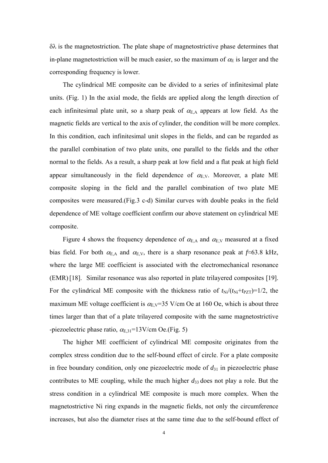$\delta \lambda$  is the magnetostriction. The plate shape of magnetostrictive phase determines that in-plane magnetostriction will be much easier, so the maximum of  $\alpha_E$  is larger and the corresponding frequency is lower.

The cylindrical ME composite can be divided to a series of infinitesimal plate units. (Fig. 1) In the axial mode, the fields are applied along the length direction of each infinitesimal plate unit, so a sharp peak of  $\alpha_{E,A}$  appears at low field. As the magnetic fields are vertical to the axis of cylinder, the condition will be more complex. In this condition, each infinitesimal unit slopes in the fields, and can be regarded as the parallel combination of two plate units, one parallel to the fields and the other normal to the fields. As a result, a sharp peak at low field and a flat peak at high field appear simultaneously in the field dependence of  $\alpha_{E,V}$ . Moreover, a plate ME composite sloping in the field and the parallel combination of two plate ME composites were measured.(Fig.3 c-d) Similar curves with double peaks in the field dependence of ME voltage coefficient confirm our above statement on cylindrical ME composite.

Figure 4 shows the frequency dependence of  $\alpha_{\text{E,A}}$  and  $\alpha_{\text{E,V}}$  measured at a fixed bias field. For both  $\alpha_{E,A}$  and  $\alpha_{E,V}$ , there is a sharp resonance peak at  $f \approx 63.8$  kHz, where the large ME coefficient is associated with the electromechanical resonance (EMR) [18]. Similar resonance was also reported in plate trilayered composites [19]. For the cylindrical ME composite with the thickness ratio of  $t_{\text{Ni}}/(t_{\text{Ni}}+t_{\text{PZT}})=1/2$ , the maximum ME voltage coefficient is  $\alpha_{E,V}=35$  V/cm Oe at 160 Oe, which is about three times larger than that of a plate trilayered composite with the same magnetostrictive -piezoelectric phase ratio,  $\alpha_{E,31}$ =13V/cm Oe.(Fig. 5)

The higher ME coefficient of cylindrical ME composite originates from the complex stress condition due to the self-bound effect of circle. For a plate composite in free boundary condition, only one piezoelectric mode of  $d_{31}$  in piezoelectric phase contributes to ME coupling, while the much higher *d*33 does not play a role. But the stress condition in a cylindrical ME composite is much more complex. When the magnetostrictive Ni ring expands in the magnetic fields, not only the circumference increases, but also the diameter rises at the same time due to the self-bound effect of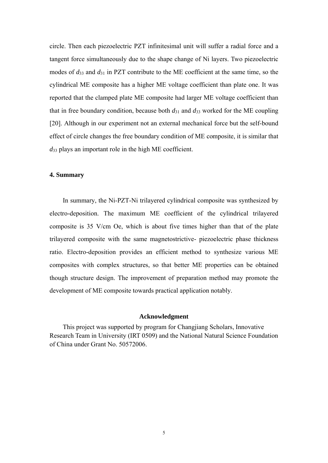circle. Then each piezoelectric PZT infinitesimal unit will suffer a radial force and a tangent force simultaneously due to the shape change of Ni layers. Two piezoelectric modes of *d*33 and *d*31 in PZT contribute to the ME coefficient at the same time, so the cylindrical ME composite has a higher ME voltage coefficient than plate one. It was reported that the clamped plate ME composite had larger ME voltage coefficient than that in free boundary condition, because both  $d_{31}$  and  $d_{33}$  worked for the ME coupling [20]. Although in our experiment not an external mechanical force but the self-bound effect of circle changes the free boundary condition of ME composite, it is similar that *d*33 plays an important role in the high ME coefficient.

#### **4. Summary**

In summary, the Ni-PZT-Ni trilayered cylindrical composite was synthesized by electro-deposition. The maximum ME coefficient of the cylindrical trilayered composite is 35 V/cm Oe, which is about five times higher than that of the plate trilayered composite with the same magnetostrictive- piezoelectric phase thickness ratio. Electro-deposition provides an efficient method to synthesize various ME composites with complex structures, so that better ME properties can be obtained though structure design. The improvement of preparation method may promote the development of ME composite towards practical application notably.

#### **Acknowledgment**

 This project was supported by program for Changjiang Scholars, Innovative Research Team in University (IRT 0509) and the National Natural Science Foundation of China under Grant No. 50572006.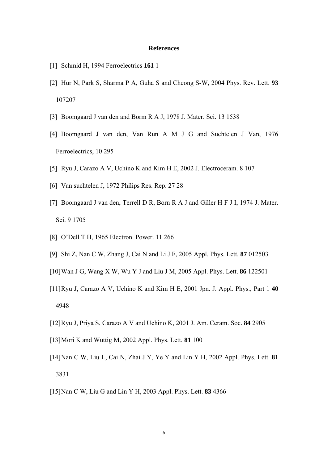#### **References**

- [1] Schmid H, 1994 Ferroelectrics **161** 1
- [2] Hur N, Park S, Sharma P A, Guha S and Cheong S-W, 2004 Phys. Rev. Lett. **93** 107207
- [3] Boomgaard J van den and Borm R A J, 1978 J. Mater. Sci. 13 1538
- [4] Boomgaard J van den, Van Run A M J G and Suchtelen J Van, 1976 Ferroelectrics, 10 295
- [5] Ryu J, Carazo A V, Uchino K and Kim H E, 2002 J. Electroceram. 8 107
- [6] Van suchtelen J, 1972 Philips Res. Rep. 27 28
- [7] Boomgaard J van den, Terrell D R, Born R A J and Giller H F J I, 1974 J. Mater. Sci. 9 1705
- [8] O'Dell T H, 1965 Electron. Power. 11 266
- [9] Shi Z, Nan C W, Zhang J, Cai N and Li J F, 2005 Appl. Phys. Lett. **87** 012503
- [10]Wan J G, Wang X W, Wu Y J and Liu J M, 2005 Appl. Phys. Lett. **86** 122501
- [11]Ryu J, Carazo A V, Uchino K and Kim H E, 2001 Jpn. J. Appl. Phys., Part 1 **40** 4948
- [12]Ryu J, Priya S, Carazo A V and Uchino K, 2001 J. Am. Ceram. Soc. **84** 2905
- [13]Mori K and Wuttig M, 2002 Appl. Phys. Lett. **81** 100
- [14]Nan C W, Liu L, Cai N, Zhai J Y, Ye Y and Lin Y H, 2002 Appl. Phys. Lett. **81** 3831
- [15]Nan C W, Liu G and Lin Y H, 2003 Appl. Phys. Lett. **83** 4366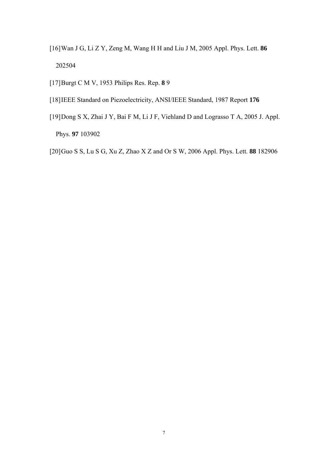- [16]Wan J G, Li Z Y, Zeng M, Wang H H and Liu J M, 2005 Appl. Phys. Lett. **86**  202504
- [17]Burgt C M V, 1953 Philips Res. Rep. **8** 9
- [18]IEEE Standard on Piezoelectricity, ANSI/IEEE Standard, 1987 Report **176**
- [19]Dong S X, Zhai J Y, Bai F M, Li J F, Viehland D and Lograsso T A, 2005 J. Appl. Phys. **97** 103902
- [20]Guo S S, Lu S G, Xu Z, Zhao X Z and Or S W, 2006 Appl. Phys. Lett. **88** 182906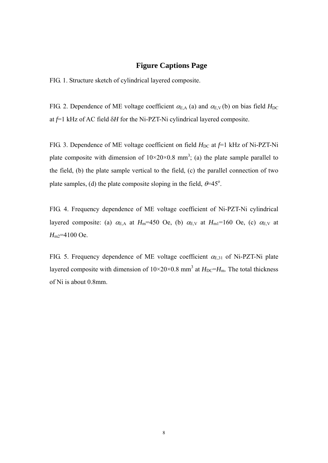## **Figure Captions Page**

FIG. 1. Structure sketch of cylindrical layered composite.

FIG. 2. Dependence of ME voltage coefficient  $\alpha_{E,A}$  (a) and  $\alpha_{E,V}$  (b) on bias field  $H_{DC}$ at *f*=1 kHz of AC field δ*H* for the Ni-PZT-Ni cylindrical layered composite.

FIG. 3. Dependence of ME voltage coefficient on field  $H_{DC}$  at  $f=1$  kHz of Ni-PZT-Ni plate composite with dimension of  $10\times20\times0.8$  mm<sup>3</sup>; (a) the plate sample parallel to the field, (b) the plate sample vertical to the field, (c) the parallel connection of two plate samples, (d) the plate composite sloping in the field,  $\theta = 45^\circ$ .

FIG. 4. Frequency dependence of ME voltage coefficient of Ni-PZT-Ni cylindrical layered composite: (a)  $\alpha_{E,A}$  at  $H_m$ =450 Oe, (b)  $\alpha_{E,V}$  at  $H_m$ 1=160 Oe, (c)  $\alpha_{E,V}$  at *H*m2=4100 Oe.

FIG. 5. Frequency dependence of ME voltage coefficient  $\alpha_{E,31}$  of Ni-PZT-Ni plate layered composite with dimension of  $10 \times 20 \times 0.8$  mm<sup>3</sup> at  $H_{\text{DC}}=H_{\text{m}}$ . The total thickness of Ni is about 0.8mm.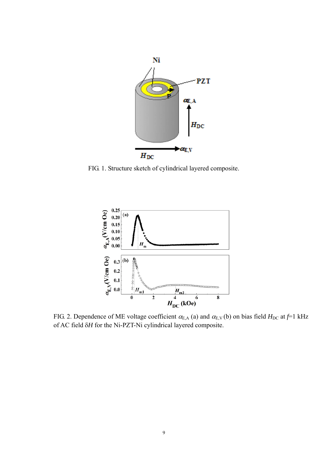

FIG. 1. Structure sketch of cylindrical layered composite.



FIG. 2. Dependence of ME voltage coefficient  $\alpha_{E,A}$  (a) and  $\alpha_{E,V}$  (b) on bias field  $H_{DC}$  at  $f=1$  kHz of AC field δ*H* for the Ni-PZT-Ni cylindrical layered composite.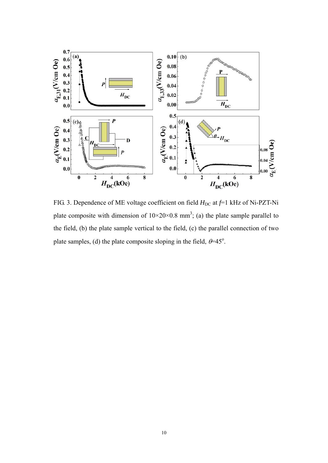

FIG. 3. Dependence of ME voltage coefficient on field  $H_{DC}$  at  $f=1$  kHz of Ni-PZT-Ni plate composite with dimension of  $10\times20\times0.8$  mm<sup>3</sup>; (a) the plate sample parallel to the field, (b) the plate sample vertical to the field, (c) the parallel connection of two plate samples, (d) the plate composite sloping in the field,  $\theta = 45^\circ$ .